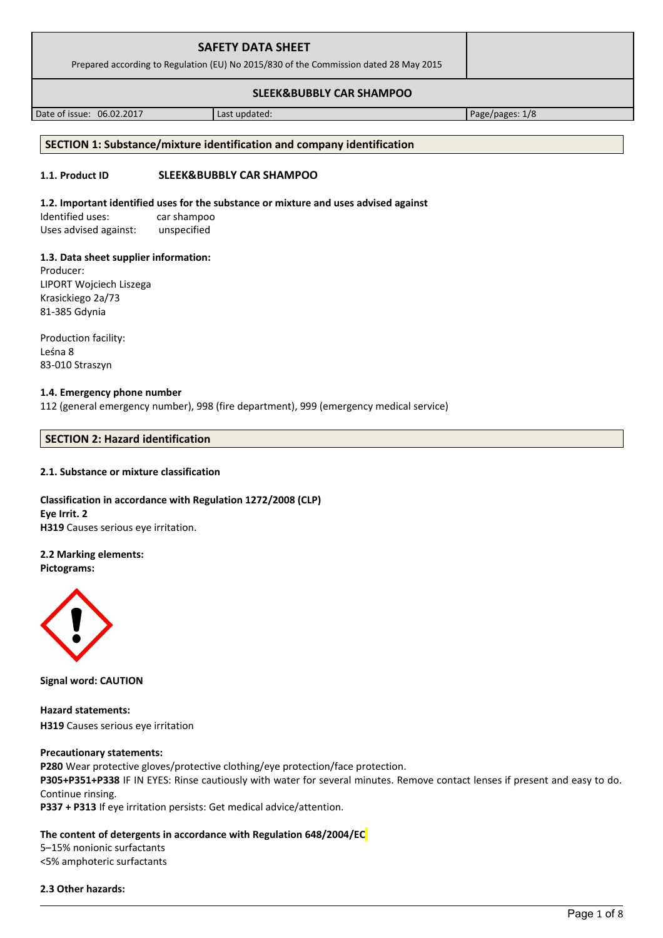| <b>SAFETY DATA SHEET</b><br>Prepared according to Regulation (EU) No 2015/830 of the Commission dated 28 May 2015 |  |
|-------------------------------------------------------------------------------------------------------------------|--|
| <b>SLEEK&amp;BUBBLY CAR SHAMPOO</b>                                                                               |  |

Date of issue: 06.02.2017 Last updated: Page/pages: 1/8

## **SECTION 1: Substance/mixture identification and company identification**

## **1.1. Product ID SLEEK&BUBBLY CAR SHAMPOO**

## **1.2. Important identified uses for the substance or mixture and uses advised against**

Identified uses: car shampoo Uses advised against: unspecified

## **1.3. Data sheet supplier information:**

Producer: LIPORT Wojciech Liszega Krasickiego 2a/73 81-385 Gdynia

Production facility: Leśna 8 83-010 Straszyn

## **1.4. Emergency phone number**

112 (general emergency number), 998 (fire department), 999 (emergency medical service)

## **SECTION 2: Hazard identification**

## **2.1. Substance or mixture classification**

## **Classification in accordance with Regulation 1272/2008 (CLP) Eye Irrit. 2 H319** Causes serious eye irritation.

## **2.2 Marking elements:**

**Pictograms:**



**Signal word: CAUTION**

**Hazard statements: H319** Causes serious eye irritation

## **Precautionary statements:**

**P280** Wear protective gloves/protective clothing/eye protection/face protection.

**P305+P351+P338** IF IN EYES: Rinse cautiously with water for several minutes. Remove contact lenses if present and easy to do. Continue rinsing.

**P337 + P313** If eye irritation persists: Get medical advice/attention.

## **The content of detergents in accordance with Regulation 648/2004/EC**

5–15% nonionic surfactants <5% amphoteric surfactants

## **2.3 Other hazards:**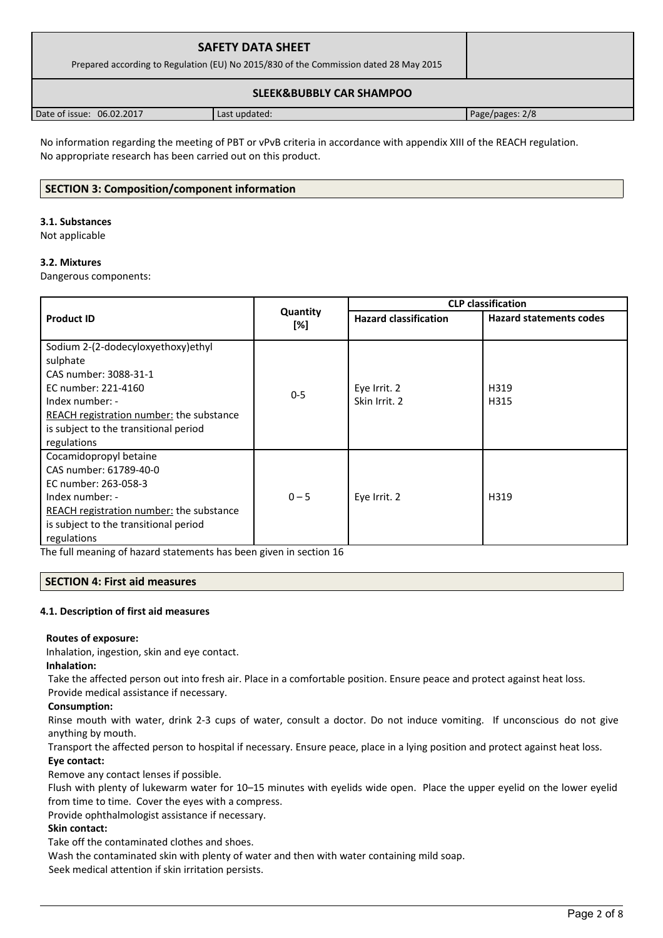| <b>SAFETY DATA SHEET</b><br>Prepared according to Regulation (EU) No 2015/830 of the Commission dated 28 May 2015 |               |                 |
|-------------------------------------------------------------------------------------------------------------------|---------------|-----------------|
|                                                                                                                   |               |                 |
| Date of issue: 06.02.2017                                                                                         | Last updated: | Page/pages: 2/8 |

No information regarding the meeting of PBT or vPvB criteria in accordance with appendix XIII of the REACH regulation. No appropriate research has been carried out on this product.

## **SECTION 3: Composition/component information**

### **3.1. Substances**

Not applicable

## **3.2. Mixtures**

Dangerous components:

|                                                 |                 | <b>CLP classification</b>    |                                |  |
|-------------------------------------------------|-----------------|------------------------------|--------------------------------|--|
| <b>Product ID</b>                               | Quantity<br>[%] | <b>Hazard classification</b> | <b>Hazard statements codes</b> |  |
| Sodium 2-(2-dodecyloxyethoxy)ethyl              |                 |                              |                                |  |
| sulphate                                        |                 |                              |                                |  |
| CAS number: 3088-31-1                           |                 |                              |                                |  |
| EC number: 221-4160                             | $0 - 5$         | Eye Irrit. 2                 | H319                           |  |
| Index number: -                                 |                 | Skin Irrit. 2                | H315                           |  |
| REACH registration number: the substance        |                 |                              |                                |  |
| is subject to the transitional period           |                 |                              |                                |  |
| regulations                                     |                 |                              |                                |  |
| Cocamidopropyl betaine                          |                 |                              |                                |  |
| CAS number: 61789-40-0                          |                 |                              |                                |  |
| EC number: 263-058-3                            |                 |                              |                                |  |
| Index number: -                                 | $0 - 5$         | Eye Irrit. 2                 | H319                           |  |
| <b>REACH registration number:</b> the substance |                 |                              |                                |  |
| is subject to the transitional period           |                 |                              |                                |  |
| regulations                                     |                 |                              |                                |  |

The full meaning of hazard statements has been given in section 16

## **SECTION 4: First aid measures**

#### **4.1. Description of first aid measures**

## **Routes of exposure:**

Inhalation, ingestion, skin and eye contact.

## **Inhalation:**

Take the affected person out into fresh air. Place in a comfortable position. Ensure peace and protect against heat loss.

Provide medical assistance if necessary.

## **Consumption:**

Rinse mouth with water, drink 2-3 cups of water, consult a doctor. Do not induce vomiting. If unconscious do not give anything by mouth.

Transport the affected person to hospital if necessary. Ensure peace, place in a lying position and protect against heat loss. **Eye contact:**

Remove any contact lenses if possible.

Flush with plenty of lukewarm water for 10–15 minutes with eyelids wide open. Place the upper eyelid on the lower eyelid from time to time. Cover the eyes with a compress.

Provide ophthalmologist assistance if necessary.

## **Skin contact:**

Take off the contaminated clothes and shoes.

Wash the contaminated skin with plenty of water and then with water containing mild soap.

Seek medical attention if skin irritation persists.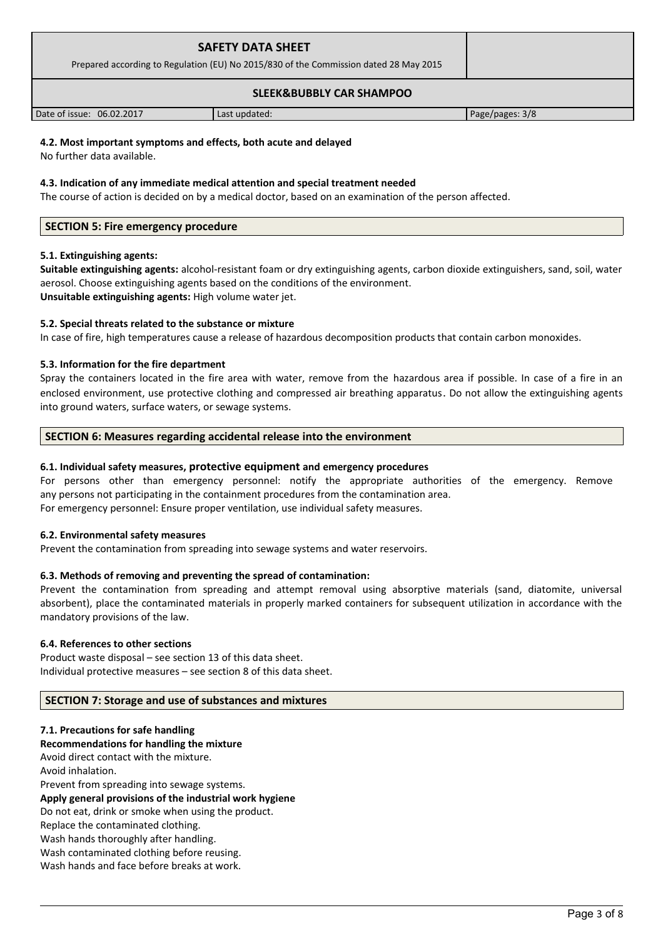| <b>SAFETY DATA SHEET</b><br>Prepared according to Regulation (EU) No 2015/830 of the Commission dated 28 May 2015 |  |
|-------------------------------------------------------------------------------------------------------------------|--|
| <b>SLEEK&amp;BUBBLY CAR SHAMPOO</b>                                                                               |  |

# Date of issue: 06.02.2017 **Last updated:** Page/pages: 3/8

## **4.2. Most important symptoms and effects, both acute and delayed**

No further data available.

### **4.3. Indication of any immediate medical attention and special treatment needed**

The course of action is decided on by a medical doctor, based on an examination of the person affected.

## **SECTION 5: Fire emergency procedure**

## **5.1. Extinguishing agents:**

**Suitable extinguishing agents:** alcohol-resistant foam or dry extinguishing agents, carbon dioxide extinguishers, sand, soil, water aerosol. Choose extinguishing agents based on the conditions of the environment. **Unsuitable extinguishing agents:** High volume water jet.

## **5.2. Special threats related to the substance or mixture**

In case of fire, high temperatures cause a release of hazardous decomposition products that contain carbon monoxides.

## **5.3. Information for the fire department**

Spray the containers located in the fire area with water, remove from the hazardous area if possible. In case of a fire in an enclosed environment, use protective clothing and compressed air breathing apparatus. Do not allow the extinguishing agents into ground waters, surface waters, or sewage systems.

## **SECTION 6: Measures regarding accidental release into the environment**

## **6.1. Individual safety measures, protective equipment and emergency procedures**

For persons other than emergency personnel: notify the appropriate authorities of the emergency. Remove any persons not participating in the containment procedures from the contamination area. For emergency personnel: Ensure proper ventilation, use individual safety measures.

## **6.2. Environmental safety measures**

Prevent the contamination from spreading into sewage systems and water reservoirs.

## **6.3. Methods of removing and preventing the spread of contamination:**

Prevent the contamination from spreading and attempt removal using absorptive materials (sand, diatomite, universal absorbent), place the contaminated materials in properly marked containers for subsequent utilization in accordance with the mandatory provisions of the law.

## **6.4. References to other sections**

Product waste disposal – see section 13 of this data sheet. Individual protective measures – see section 8 of this data sheet.

## **SECTION 7: Storage and use of substances and mixtures**

## **7.1. Precautions for safe handling**

**Recommendations for handling the mixture** 

Avoid direct contact with the mixture. Avoid inhalation. Prevent from spreading into sewage systems. **Apply general provisions of the industrial work hygiene**  Do not eat, drink or smoke when using the product. Replace the contaminated clothing. Wash hands thoroughly after handling. Wash contaminated clothing before reusing. Wash hands and face before breaks at work.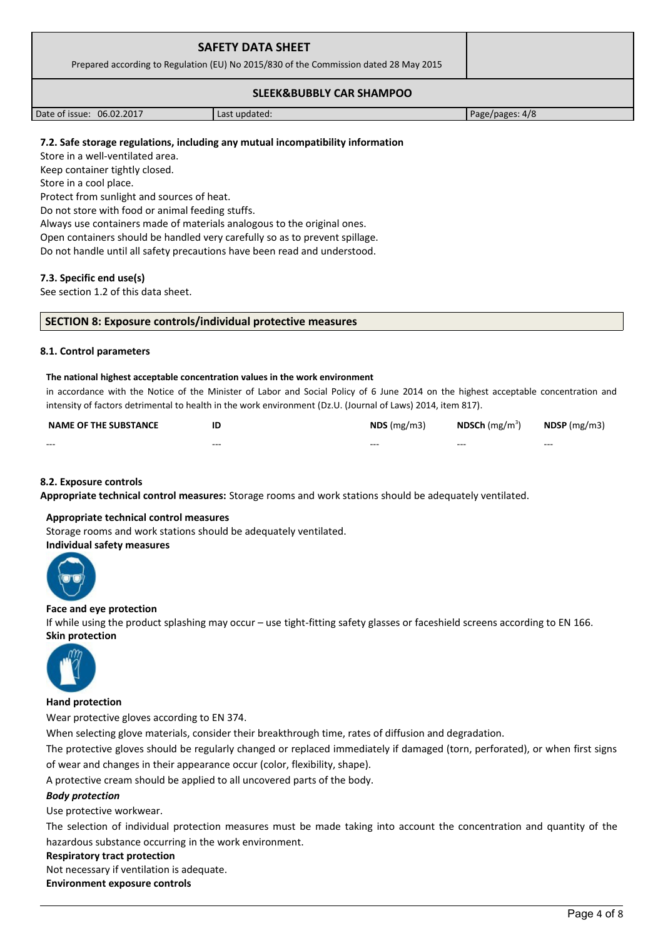| <b>SAFETY DATA SHEET</b><br>Prepared according to Regulation (EU) No 2015/830 of the Commission dated 28 May 2015 |               |                 |
|-------------------------------------------------------------------------------------------------------------------|---------------|-----------------|
|                                                                                                                   |               |                 |
| Date of issue: 06.02.2017                                                                                         | Last updated: | Page/pages: 4/8 |

## **7.2. Safe storage regulations, including any mutual incompatibility information**

Store in a well-ventilated area.

Keep container tightly closed.

Store in a cool place.

Protect from sunlight and sources of heat.

Do not store with food or animal feeding stuffs.

Always use containers made of materials analogous to the original ones.

Open containers should be handled very carefully so as to prevent spillage.

Do not handle until all safety precautions have been read and understood.

## **7.3. Specific end use(s)**

See section 1.2 of this data sheet.

#### **SECTION 8: Exposure controls/individual protective measures**

#### **8.1. Control parameters**

#### **The national highest acceptable concentration values in the work environment**

in accordance with the Notice of the Minister of Labor and Social Policy of 6 June 2014 on the highest acceptable concentration and intensity of factors detrimental to health in the work environment (Dz.U. (Journal of Laws) 2014, item 817).

| <b>NAME OF THE SUBSTANCE</b> | ΙE      | $NDS$ (mg/m3) | <b>NDSCh</b> (mg/m <sup>3</sup> ) | $N$ DSP (mg/m3) |
|------------------------------|---------|---------------|-----------------------------------|-----------------|
| $- - -$                      | $- - -$ | $- - -$       | $- - -$                           | $- - -$         |

## **8.2. Exposure controls**

**Appropriate technical control measures:** Storage rooms and work stations should be adequately ventilated.

## **Appropriate technical control measures**

Storage rooms and work stations should be adequately ventilated.

## **Individual safety measures**



#### **Face and eye protection**

If while using the product splashing may occur – use tight-fitting safety glasses or faceshield screens according to EN 166. **Skin protection** 



## **Hand protection**

Wear protective gloves according to EN 374.

When selecting glove materials, consider their breakthrough time, rates of diffusion and degradation.

The protective gloves should be regularly changed or replaced immediately if damaged (torn, perforated), or when first signs of wear and changes in their appearance occur (color, flexibility, shape).

A protective cream should be applied to all uncovered parts of the body.

## *Body protection*

Use protective workwear.

The selection of individual protection measures must be made taking into account the concentration and quantity of the hazardous substance occurring in the work environment.

#### **Respiratory tract protection**

Not necessary if ventilation is adequate.

**Environment exposure controls**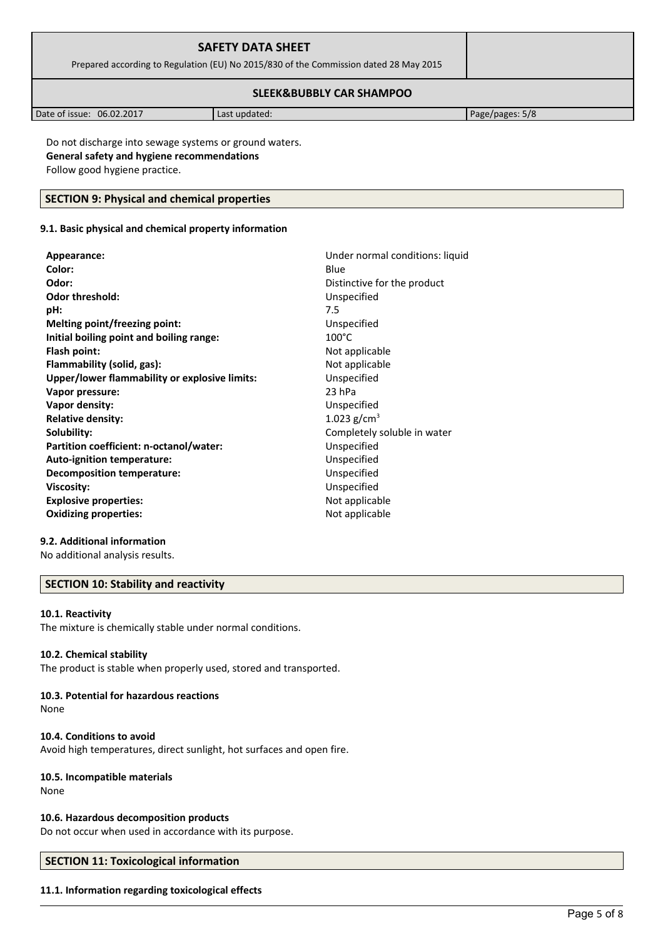| <b>SAFETY DATA SHEET</b><br>Prepared according to Regulation (EU) No 2015/830 of the Commission dated 28 May 2015 |               |                 |
|-------------------------------------------------------------------------------------------------------------------|---------------|-----------------|
|                                                                                                                   |               |                 |
| Date of issue: 06.02.2017                                                                                         | Last updated: | Page/pages: 5/8 |

Do not discharge into sewage systems or ground waters. **General safety and hygiene recommendations** Follow good hygiene practice.

## **SECTION 9: Physical and chemical properties**

## **9.1. Basic physical and chemical property information**

| Appearance:                                   | Under normal conditions: liquid |
|-----------------------------------------------|---------------------------------|
| Color:                                        | Blue                            |
| Odor:                                         | Distinctive for the product     |
| <b>Odor threshold:</b>                        | Unspecified                     |
| pH:                                           | 7.5                             |
| Melting point/freezing point:                 | Unspecified                     |
| Initial boiling point and boiling range:      | $100^{\circ}$ C                 |
| Flash point:                                  | Not applicable                  |
| Flammability (solid, gas):                    | Not applicable                  |
| Upper/lower flammability or explosive limits: | Unspecified                     |
| Vapor pressure:                               | 23 hPa                          |
| Vapor density:                                | Unspecified                     |
| <b>Relative density:</b>                      | 1.023 $g/cm^{3}$                |
| Solubility:                                   | Completely soluble in water     |
| Partition coefficient: n-octanol/water:       | Unspecified                     |
| Auto-ignition temperature:                    | Unspecified                     |
| Decomposition temperature:                    | Unspecified                     |
| <b>Viscosity:</b>                             | Unspecified                     |
| <b>Explosive properties:</b>                  | Not applicable                  |
| <b>Oxidizing properties:</b>                  | Not applicable                  |
|                                               |                                 |

## **9.2. Additional information**

No additional analysis results.

## **SECTION 10: Stability and reactivity**

#### **10.1. Reactivity**

The mixture is chemically stable under normal conditions.

## **10.2. Chemical stability**

The product is stable when properly used, stored and transported.

## **10.3. Potential for hazardous reactions**

None

## **10.4. Conditions to avoid**

Avoid high temperatures, direct sunlight, hot surfaces and open fire.

## **10.5. Incompatible materials**

None

## **10.6. Hazardous decomposition products**

Do not occur when used in accordance with its purpose.

## **SECTION 11: Toxicological information**

## **11.1. Information regarding toxicological effects**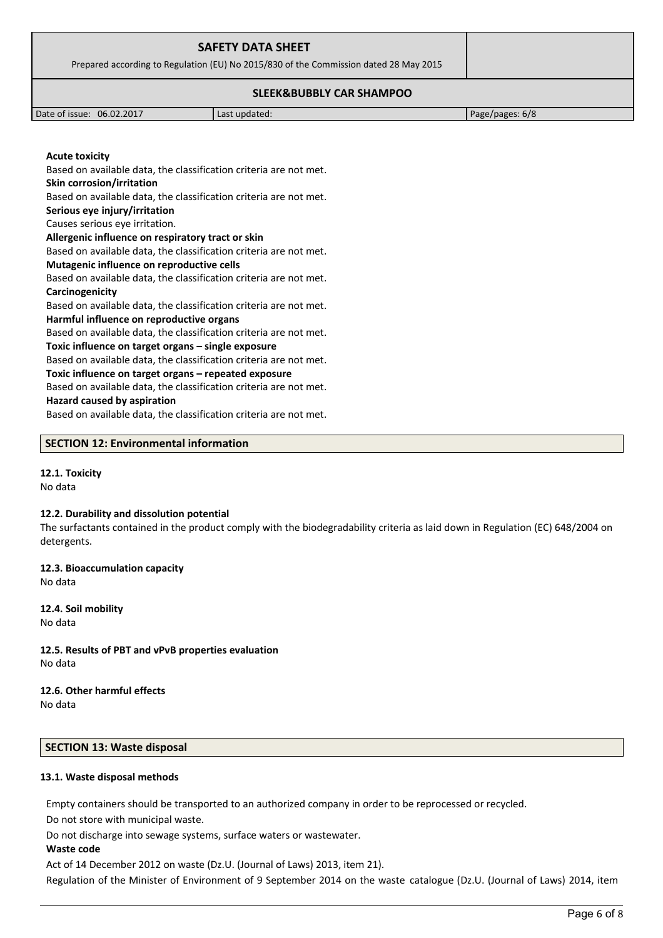| <b>SAFETY DATA SHEET</b><br>Prepared according to Regulation (EU) No 2015/830 of the Commission dated 28 May 2015 |  |
|-------------------------------------------------------------------------------------------------------------------|--|
| <b>SLEEK&amp;BUBBLY CAR SHAMPOO</b>                                                                               |  |

Date of issue: 06.02.2017 **Last updated:** Page/pages: 6/8

**Acute toxicity** Based on available data, the classification criteria are not met. **Skin corrosion/irritation** Based on available data, the classification criteria are not met. **Serious eye injury/irritation** Causes serious eye irritation. **Allergenic influence on respiratory tract or skin** Based on available data, the classification criteria are not met. **Mutagenic influence on reproductive cells** Based on available data, the classification criteria are not met. **Carcinogenicity** Based on available data, the classification criteria are not met. **Harmful influence on reproductive organs** Based on available data, the classification criteria are not met. **Toxic influence on target organs – single exposure** Based on available data, the classification criteria are not met. **Toxic influence on target organs – repeated exposure** Based on available data, the classification criteria are not met.

#### **Hazard caused by aspiration**

Based on available data, the classification criteria are not met.

#### **SECTION 12: Environmental information**

## **12.1. Toxicity**

No data

#### **12.2. Durability and dissolution potential**

The surfactants contained in the product comply with the biodegradability criteria as laid down in Regulation (EC) 648/2004 on detergents.

**12.3. Bioaccumulation capacity** No data

**12.4. Soil mobility** No data

**12.5. Results of PBT and vPvB properties evaluation** No data

# **12.6. Other harmful effects**

No data

### **SECTION 13: Waste disposal**

#### **13.1. Waste disposal methods**

Empty containers should be transported to an authorized company in order to be reprocessed or recycled.

Do not store with municipal waste.

Do not discharge into sewage systems, surface waters or wastewater.

#### **Waste code**

Act of 14 December 2012 on waste (Dz.U. (Journal of Laws) 2013, item 21).

Regulation of the Minister of Environment of 9 September 2014 on the waste catalogue (Dz.U. (Journal of Laws) 2014, item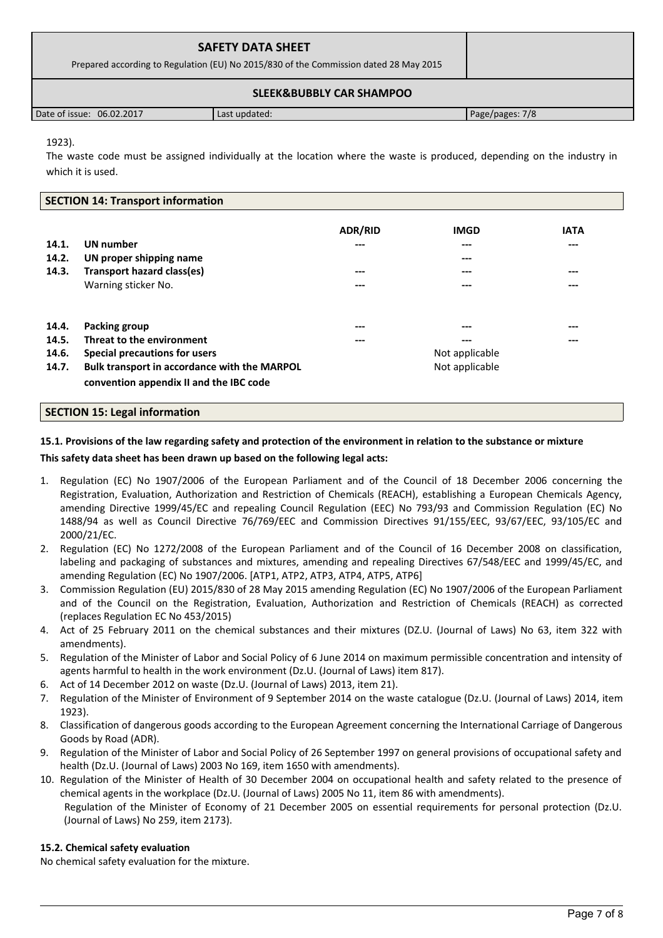| <b>SAFETY DATA SHEET</b><br>Prepared according to Regulation (EU) No 2015/830 of the Commission dated 28 May 2015 |               |                 |
|-------------------------------------------------------------------------------------------------------------------|---------------|-----------------|
| <b>SLEEK&amp;BUBBLY CAR SHAMPOO</b>                                                                               |               |                 |
| Date of issue: 06.02.2017                                                                                         | Last updated: | Page/pages: 7/8 |

## 1923).

The waste code must be assigned individually at the location where the waste is produced, depending on the industry in which it is used.

## **SECTION 14: Transport information**

| 14.1.<br>14.2.<br>14.3.          | UN number<br>UN proper shipping name<br>Transport hazard class(es)<br>Warning sticker No.                                                                              | <b>ADR/RID</b><br>---<br>$---$<br>--- | <b>IMGD</b><br>---<br>$---$<br>---<br>---      | <b>IATA</b><br>---<br>$---$<br>--- |
|----------------------------------|------------------------------------------------------------------------------------------------------------------------------------------------------------------------|---------------------------------------|------------------------------------------------|------------------------------------|
| 14.4.<br>14.5.<br>14.6.<br>14.7. | Packing group<br>Threat to the environment<br>Special precautions for users<br>Bulk transport in accordance with the MARPOL<br>convention appendix II and the IBC code | ---<br>---                            | ---<br>---<br>Not applicable<br>Not applicable | ---<br>---                         |

## **SECTION 15: Legal information**

## **15.1. Provisions of the law regarding safety and protection of the environment in relation to the substance or mixture**

## **This safety data sheet has been drawn up based on the following legal acts:**

- 1. Regulation (EC) No 1907/2006 of the European Parliament and of the Council of 18 December 2006 concerning the Registration, Evaluation, Authorization and Restriction of Chemicals (REACH), establishing a European Chemicals Agency, amending Directive 1999/45/EC and repealing Council Regulation (EEC) No 793/93 and Commission Regulation (EC) No 1488/94 as well as Council Directive 76/769/EEC and Commission Directives 91/155/EEC, 93/67/EEC, 93/105/EC and 2000/21/EC.
- 2. Regulation (EC) No 1272/2008 of the European Parliament and of the Council of 16 December 2008 on classification, labeling and packaging of substances and mixtures, amending and repealing Directives 67/548/EEC and 1999/45/EC, and amending Regulation (EC) No 1907/2006. [ATP1, ATP2, ATP3, ATP4, ATP5, ATP6]
- 3. Commission Regulation (EU) 2015/830 of 28 May 2015 amending Regulation (EC) No 1907/2006 of the European Parliament and of the Council on the Registration, Evaluation, Authorization and Restriction of Chemicals (REACH) as corrected (replaces Regulation EC No 453/2015)
- 4. Act of 25 February 2011 on the chemical substances and their mixtures (DZ.U. (Journal of Laws) No 63, item 322 with amendments).
- 5. Regulation of the Minister of Labor and Social Policy of 6 June 2014 on maximum permissible concentration and intensity of agents harmful to health in the work environment (Dz.U. (Journal of Laws) item 817).
- 6. Act of 14 December 2012 on waste (Dz.U. (Journal of Laws) 2013, item 21).
- 7. Regulation of the Minister of Environment of 9 September 2014 on the waste catalogue (Dz.U. (Journal of Laws) 2014, item 1923).
- 8. Classification of dangerous goods according to the European Agreement concerning the International Carriage of Dangerous Goods by Road (ADR).
- 9. Regulation of the Minister of Labor and Social Policy of 26 September 1997 on general provisions of occupational safety and health (Dz.U. (Journal of Laws) 2003 No 169, item 1650 with amendments).
- 10. Regulation of the Minister of Health of 30 December 2004 on occupational health and safety related to the presence of chemical agents in the workplace (Dz.U. (Journal of Laws) 2005 No 11, item 86 with amendments). Regulation of the Minister of Economy of 21 December 2005 on essential requirements for personal protection (Dz.U. (Journal of Laws) No 259, item 2173).

## **15.2. Chemical safety evaluation**

No chemical safety evaluation for the mixture.